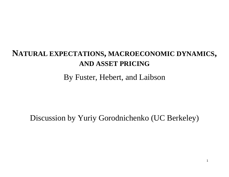# **NATURAL EXPECTATIONS, MACROECONOMIC DYNAMICS, AND ASSET PRICING**

By Fuster, Hebert, and Laibson

Discussion by Yuriy Gorodnichenko (UC Berkeley)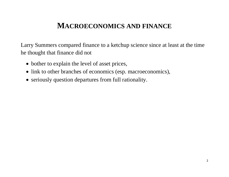## **MACROECONOMICS AND FINANCE**

Larry Summers compared finance to a ketchup science since at least at the time he thought that finance did not

- bother to explain the level of asset prices,
- link to other branches of economics (esp. macroeconomics),
- seriously question departures from full rationality.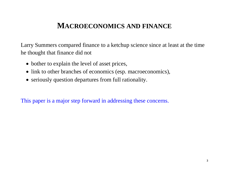## **MACROECONOMICS AND FINANCE**

Larry Summers compared finance to a ketchup science since at least at the time he thought that finance did not

- bother to explain the level of asset prices,
- link to other branches of economics (esp. macroeconomics),
- seriously question departures from full rationality.

This paper is a major step forward in addressing these concerns.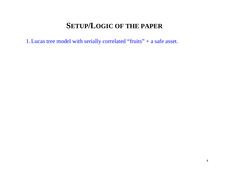1.Lucas tree model with serially correlated "fruits" + a safe asset.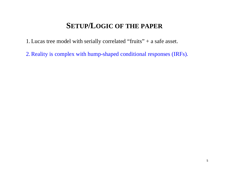1.Lucas tree model with serially correlated "fruits" + a safe asset.

2.Reality is complex with hump-shaped conditional responses (IRFs).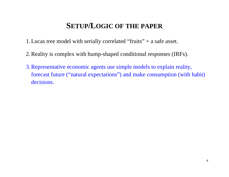- 1.Lucas tree model with serially correlated "fruits" + a safe asset.
- 2.Reality is complex with hump-shaped conditional responses (IRFs).
- 3.Representative economic agents use simple models to explain reality, forecast future ("natural expectations") and make consumption (with habit) decisions.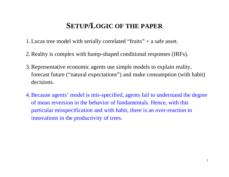- 1.Lucas tree model with serially correlated "fruits" + a safe asset.
- 2.Reality is complex with hump-shaped conditional responses (IRFs).
- 3.Representative economic agents use simple models to explain reality, forecast future ("natural expectations") and make consumption (with habit) decisions.
- 4.Because agents' model is mis-specified, agents fail to understand the degree of mean reversion in the behavior of fundamentals. Hence, with this particular misspecification and with habit, there is an over-reaction to innovations in the productivity of trees.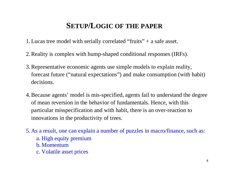- 1.Lucas tree model with serially correlated "fruits" + a safe asset.
- 2.Reality is complex with hump-shaped conditional responses (IRFs).
- 3.Representative economic agents use simple models to explain reality, forecast future ("natural expectations") and make consumption (with habit) decisions.
- 4.Because agents' model is mis-specified, agents fail to understand the degree of mean reversion in the behavior of fundamentals. Hence, with this particular misspecification and with habit, there is an over-reaction to innovations in the productivity of trees.
- 5. As a result, one can explain a number of puzzles in macro/finance, such as:
	- a. High equity premium
	- b. Momentum
	- c. Volatile asset prices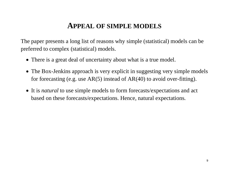### **APPEAL OF SIMPLE MODELS**

The paper presents a long list of reasons why simple (statistical) models can be preferred to complex (statistical) models.

- There is a great deal of uncertainty about what is a true model.
- The Box-Jenkins approach is very explicit in suggesting very simple models for forecasting (e.g. use  $AR(5)$  instead of  $AR(40)$  to avoid over-fitting).
- It is *natural* to use simple models to form forecasts/expectations and act based on these forecasts/expectations. Hence, natural expectations.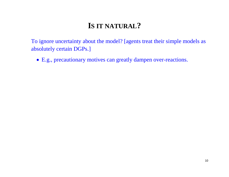# **IS IT NATURAL?**

To ignore uncertainty about the model? [agents treat their simple models as absolutely certain DGPs.]

E.g., precautionary motives can greatly dampen over-reactions.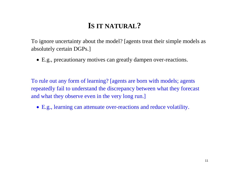# **IS IT NATURAL?**

To ignore uncertainty about the model? [agents treat their simple models as absolutely certain DGPs.]

E.g., precautionary motives can greatly dampen over-reactions.

To rule out any form of learning? [agents are born with models; agents repeatedly fail to understand the discrepancy between what they forecast and what they observe even in the very long run.]

E.g., learning can attenuate over-reactions and reduce volatility.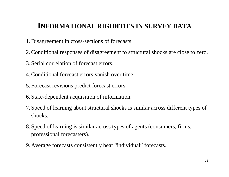## **INFORMATIONAL RIGIDITIES IN SURVEY DATA**

- 1. Disagreement in cross-sections of forecasts.
- 2.Conditional responses of disagreement to structural shocks are close to zero.
- 3. Serial correlation of forecast errors.
- 4.Conditional forecast errors vanish over time.
- 5. Forecast revisions predict forecast errors.
- 6. State-dependent acquisition of information.
- 7. Speed of learning about structural shocks is similar across different types of shocks.
- 8. Speed of learning is similar across types of agents (consumers, firms, professional forecasters).
- 9. Average forecasts consistently beat "individual" forecasts.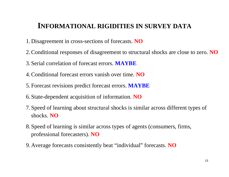### **INFORMATIONAL RIGIDITIES IN SURVEY DATA**

- 1. Disagreement in cross-sections of forecasts. **NO**
- 2.Conditional responses of disagreement to structural shocks are close to zero. **NO**
- 3. Serial correlation of forecast errors. **MAYBE**
- 4.Conditional forecast errors vanish over time. **NO**
- 5. Forecast revisions predict forecast errors. **MAYBE**
- 6. State-dependent acquisition of information. **NO**
- 7. Speed of learning about structural shocks is similar across different types of shocks. **NO**
- 8. Speed of learning is similar across types of agents (consumers, firms, professional forecasters). **NO**
- 9. Average forecasts consistently beat "individual" forecasts. **NO**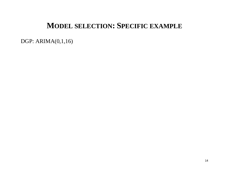### **MODEL SELECTION: SPECIFIC EXAMPLE**

DGP: ARIMA(0,1,16)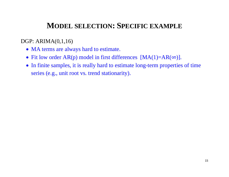## **MODEL SELECTION: SPECIFIC EXAMPLE**

#### DGP: ARIMA(0,1,16)

- MA terms are always hard to estimate.
- Fit low order  $AR(p)$  model in first differences  $[MA(1)=AR(\infty)]$ .
- In finite samples, it is really hard to estimate long-term properties of time series (e.g., unit root vs. trend stationarity).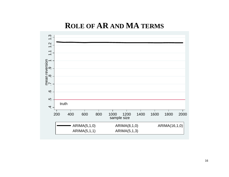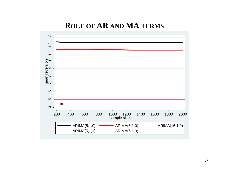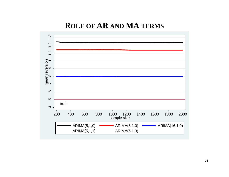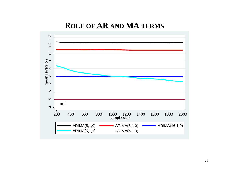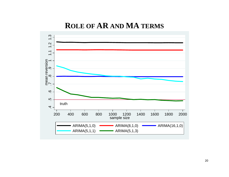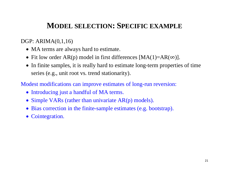## **MODEL SELECTION: SPECIFIC EXAMPLE**

#### DGP: ARIMA(0,1,16)

- MA terms are always hard to estimate.
- Fit low order  $AR(p)$  model in first differences  $[MA(1)=AR(\infty)]$ .
- In finite samples, it is really hard to estimate long-term properties of time series (e.g., unit root vs. trend stationarity).

Modest modifications can improve estimates of long-run reversion:

- Introducing just a handful of MA terms.
- Simple VARs (rather than univariate AR(p) models).
- Bias correction in the finite-sample estimates (e.g. bootstrap).
- Cointegration.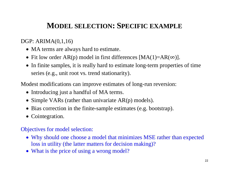# **MODEL SELECTION: SPECIFIC EXAMPLE**

#### DGP: ARIMA(0,1,16)

- MA terms are always hard to estimate.
- Fit low order  $AR(p)$  model in first differences  $[MA(1)=AR(\infty)]$ .
- In finite samples, it is really hard to estimate long-term properties of time series (e.g., unit root vs. trend stationarity).

Modest modifications can improve estimates of long-run reversion:

- Introducing just a handful of MA terms.
- Simple VARs (rather than univariate AR(p) models).
- Bias correction in the finite-sample estimates (e.g. bootstrap).
- Cointegration.

#### Objectives for model selection:

- Why should one choose a model that minimizes MSE rather than expected loss in utility (the latter matters for decision making)?
- What is the price of using a wrong model?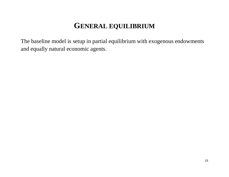The baseline model is setup in partial equilibrium with exogenous endowments and equally natural economic agents.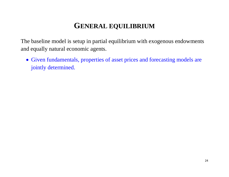The baseline model is setup in partial equilibrium with exogenous endowments and equally natural economic agents.

 Given fundamentals, properties of asset prices and forecasting models are jointly determined.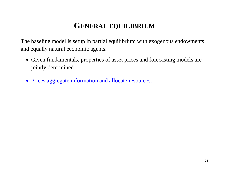The baseline model is setup in partial equilibrium with exogenous endowments and equally natural economic agents.

- Given fundamentals, properties of asset prices and forecasting models are jointly determined.
- Prices aggregate information and allocate resources.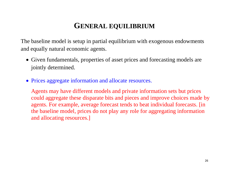The baseline model is setup in partial equilibrium with exogenous endowments and equally natural economic agents.

- Given fundamentals, properties of asset prices and forecasting models are jointly determined.
- Prices aggregate information and allocate resources.

Agents may have different models and private information sets but prices could aggregate these disparate bits and pieces and improve choices made by agents. For example, average forecast tends to beat individual forecasts. [in the baseline model, prices do not play any role for aggregating information and allocating resources.]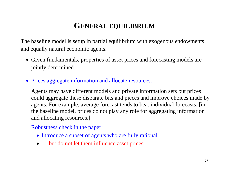The baseline model is setup in partial equilibrium with exogenous endowments and equally natural economic agents.

- Given fundamentals, properties of asset prices and forecasting models are jointly determined.
- Prices aggregate information and allocate resources.

Agents may have different models and private information sets but prices could aggregate these disparate bits and pieces and improve choices made by agents. For example, average forecast tends to beat individual forecasts. [in the baseline model, prices do not play any role for aggregating information and allocating resources.]

Robustness check in the paper:

- Introduce a subset of agents who are fully rational
- ... but do not let them influence asset prices.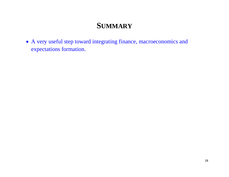## **SUMMARY**

 A very useful step toward integrating finance, macroeconomics and expectations formation.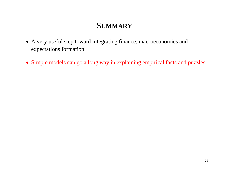# **SUMMARY**

- A very useful step toward integrating finance, macroeconomics and expectations formation.
- Simple models can go a long way in explaining empirical facts and puzzles.